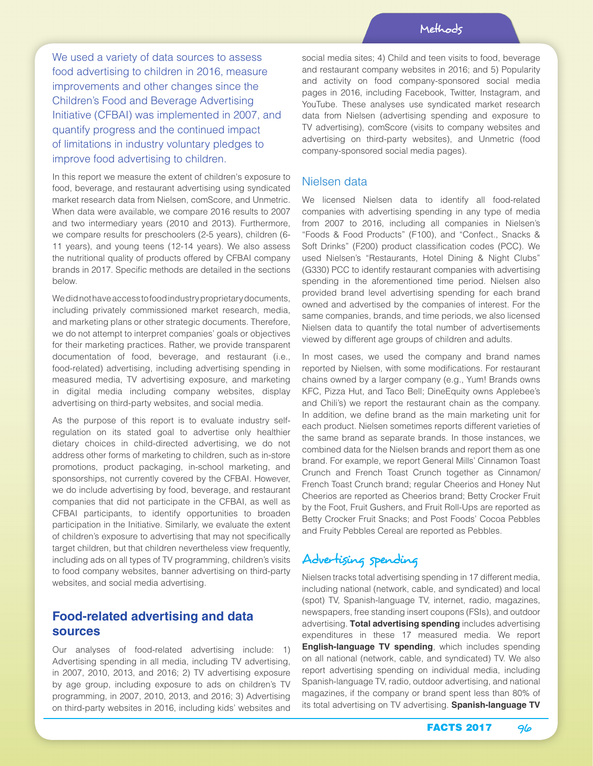We used a variety of data sources to assess food advertising to children in 2016, measure improvements and other changes since the Children's Food and Beverage Advertising Initiative (CFBAI) was implemented in 2007, and quantify progress and the continued impact of limitations in industry voluntary pledges to improve food advertising to children.

In this report we measure the extent of children's exposure to food, beverage, and restaurant advertising using syndicated market research data from Nielsen, comScore, and Unmetric. When data were available, we compare 2016 results to 2007 and two intermediary years (2010 and 2013). Furthermore, we compare results for preschoolers (2-5 years), children (6- 11 years), and young teens (12-14 years). We also assess the nutritional quality of products offered by CFBAI company brands in 2017. Specific methods are detailed in the sections below.

We did not have access to food industry proprietary documents, including privately commissioned market research, media, and marketing plans or other strategic documents. Therefore, we do not attempt to interpret companies' goals or objectives for their marketing practices. Rather, we provide transparent documentation of food, beverage, and restaurant (i.e., food-related) advertising, including advertising spending in measured media, TV advertising exposure, and marketing in digital media including company websites, display advertising on third-party websites, and social media.

As the purpose of this report is to evaluate industry selfregulation on its stated goal to advertise only healthier dietary choices in child-directed advertising, we do not address other forms of marketing to children, such as in-store promotions, product packaging, in-school marketing, and sponsorships, not currently covered by the CFBAI. However, we do include advertising by food, beverage, and restaurant companies that did not participate in the CFBAI, as well as CFBAI participants, to identify opportunities to broaden participation in the Initiative. Similarly, we evaluate the extent of children's exposure to advertising that may not specifically target children, but that children nevertheless view frequently, including ads on all types of TV programming, children's visits to food company websites, banner advertising on third-party websites, and social media advertising.

## **Food-related advertising and data sources**

Our analyses of food-related advertising include: 1) Advertising spending in all media, including TV advertising, in 2007, 2010, 2013, and 2016; 2) TV advertising exposure by age group, including exposure to ads on children's TV programming, in 2007, 2010, 2013, and 2016; 3) Advertising on third-party websites in 2016, including kids' websites and social media sites; 4) Child and teen visits to food, beverage and restaurant company websites in 2016; and 5) Popularity and activity on food company-sponsored social media pages in 2016, including Facebook, Twitter, Instagram, and YouTube. These analyses use syndicated market research data from Nielsen (advertising spending and exposure to TV advertising), comScore (visits to company websites and advertising on third-party websites), and Unmetric (food company-sponsored social media pages).

#### Nielsen data

We licensed Nielsen data to identify all food-related companies with advertising spending in any type of media from 2007 to 2016, including all companies in Nielsen's "Foods & Food Products" (F100), and "Confect., Snacks & Soft Drinks" (F200) product classification codes (PCC). We used Nielsen's "Restaurants, Hotel Dining & Night Clubs" (G330) PCC to identify restaurant companies with advertising spending in the aforementioned time period. Nielsen also provided brand level advertising spending for each brand owned and advertised by the companies of interest. For the same companies, brands, and time periods, we also licensed Nielsen data to quantify the total number of advertisements viewed by different age groups of children and adults.

In most cases, we used the company and brand names reported by Nielsen, with some modifications. For restaurant chains owned by a larger company (e.g., Yum! Brands owns KFC, Pizza Hut, and Taco Bell; DineEquity owns Applebee's and Chili's) we report the restaurant chain as the company. In addition, we define brand as the main marketing unit for each product. Nielsen sometimes reports different varieties of the same brand as separate brands. In those instances, we combined data for the Nielsen brands and report them as one brand. For example, we report General Mills' Cinnamon Toast Crunch and French Toast Crunch together as Cinnamon/ French Toast Crunch brand; regular Cheerios and Honey Nut Cheerios are reported as Cheerios brand; Betty Crocker Fruit by the Foot, Fruit Gushers, and Fruit Roll-Ups are reported as Betty Crocker Fruit Snacks; and Post Foods' Cocoa Pebbles and Fruity Pebbles Cereal are reported as Pebbles.

# Advertising spending

Nielsen tracks total advertising spending in 17 different media, including national (network, cable, and syndicated) and local (spot) TV, Spanish-language TV, internet, radio, magazines, newspapers, free standing insert coupons (FSIs), and outdoor advertising. **Total advertising spending** includes advertising expenditures in these 17 measured media. We report **English-language TV spending**, which includes spending on all national (network, cable, and syndicated) TV. We also report advertising spending on individual media, including Spanish-language TV, radio, outdoor advertising, and national magazines, if the company or brand spent less than 80% of its total advertising on TV advertising. **Spanish-language TV**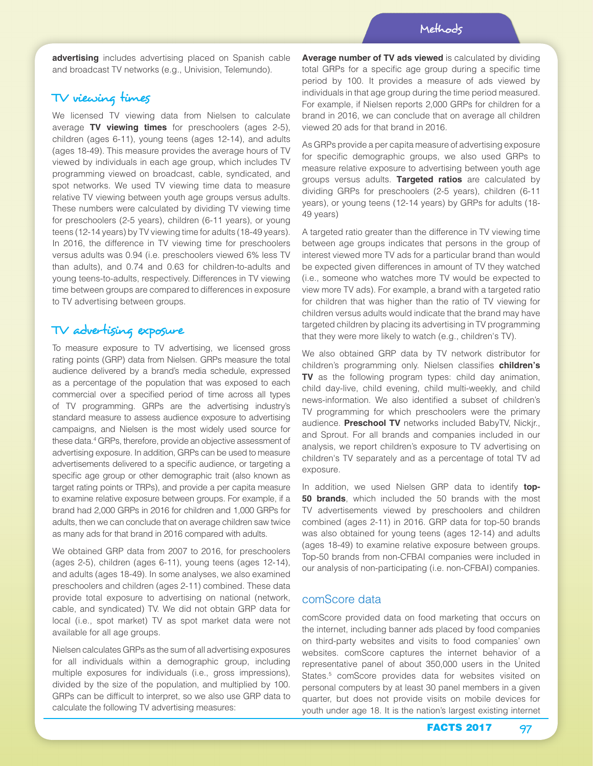**advertising** includes advertising placed on Spanish cable and broadcast TV networks (e.g., Univision, Telemundo).

## TV viewing times

We licensed TV viewing data from Nielsen to calculate average **TV viewing times** for preschoolers (ages 2-5), children (ages 6-11), young teens (ages 12-14), and adults (ages 18-49). This measure provides the average hours of TV viewed by individuals in each age group, which includes TV programming viewed on broadcast, cable, syndicated, and spot networks. We used TV viewing time data to measure relative TV viewing between youth age groups versus adults. These numbers were calculated by dividing TV viewing time for preschoolers (2-5 years), children (6-11 years), or young teens (12-14 years) by TV viewing time for adults (18-49 years). In 2016, the difference in TV viewing time for preschoolers versus adults was 0.94 (i.e. preschoolers viewed 6% less TV than adults), and 0.74 and 0.63 for children-to-adults and young teens-to-adults, respectively. Differences in TV viewing time between groups are compared to differences in exposure to TV advertising between groups.

## TV advertising exposure

To measure exposure to TV advertising, we licensed gross rating points (GRP) data from Nielsen. GRPs measure the total audience delivered by a brand's media schedule, expressed as a percentage of the population that was exposed to each commercial over a specified period of time across all types of TV programming. GRPs are the advertising industry's standard measure to assess audience exposure to advertising campaigns, and Nielsen is the most widely used source for these data.<sup>4</sup> GRPs, therefore, provide an objective assessment of advertising exposure. In addition, GRPs can be used to measure advertisements delivered to a specific audience, or targeting a specific age group or other demographic trait (also known as target rating points or TRPs), and provide a per capita measure to examine relative exposure between groups. For example, if a brand had 2,000 GRPs in 2016 for children and 1,000 GRPs for adults, then we can conclude that on average children saw twice as many ads for that brand in 2016 compared with adults.

We obtained GRP data from 2007 to 2016, for preschoolers (ages 2-5), children (ages 6-11), young teens (ages 12-14), and adults (ages 18-49). In some analyses, we also examined preschoolers and children (ages 2-11) combined. These data provide total exposure to advertising on national (network, cable, and syndicated) TV. We did not obtain GRP data for local (i.e., spot market) TV as spot market data were not available for all age groups.

Nielsen calculates GRPs as the sum of all advertising exposures for all individuals within a demographic group, including multiple exposures for individuals (i.e., gross impressions), divided by the size of the population, and multiplied by 100. GRPs can be difficult to interpret, so we also use GRP data to calculate the following TV advertising measures:

**Average number of TV ads viewed** is calculated by dividing total GRPs for a specific age group during a specific time period by 100. It provides a measure of ads viewed by individuals in that age group during the time period measured. For example, if Nielsen reports 2,000 GRPs for children for a brand in 2016, we can conclude that on average all children viewed 20 ads for that brand in 2016.

As GRPs provide a per capita measure of advertising exposure for specific demographic groups, we also used GRPs to measure relative exposure to advertising between youth age groups versus adults. **Targeted ratios** are calculated by dividing GRPs for preschoolers (2-5 years), children (6-11 years), or young teens (12-14 years) by GRPs for adults (18- 49 years)

A targeted ratio greater than the difference in TV viewing time between age groups indicates that persons in the group of interest viewed more TV ads for a particular brand than would be expected given differences in amount of TV they watched (i.e., someone who watches more TV would be expected to view more TV ads). For example, a brand with a targeted ratio for children that was higher than the ratio of TV viewing for children versus adults would indicate that the brand may have targeted children by placing its advertising in TV programming that they were more likely to watch (e.g., children's TV).

We also obtained GRP data by TV network distributor for children's programming only. Nielsen classifies **children's TV** as the following program types: child day animation, child day-live, child evening, child multi-weekly, and child news-information. We also identified a subset of children's TV programming for which preschoolers were the primary audience. **Preschool TV** networks included BabyTV, Nickjr., and Sprout. For all brands and companies included in our analysis, we report children's exposure to TV advertising on children's TV separately and as a percentage of total TV ad exposure.

In addition, we used Nielsen GRP data to identify **top-50 brands**, which included the 50 brands with the most TV advertisements viewed by preschoolers and children combined (ages 2-11) in 2016. GRP data for top-50 brands was also obtained for young teens (ages 12-14) and adults (ages 18-49) to examine relative exposure between groups. Top-50 brands from non-CFBAI companies were included in our analysis of non-participating (i.e. non-CFBAI) companies.

#### comScore data

comScore provided data on food marketing that occurs on the internet, including banner ads placed by food companies on third-party websites and visits to food companies' own websites. comScore captures the internet behavior of a representative panel of about 350,000 users in the United States.<sup>5</sup> comScore provides data for websites visited on personal computers by at least 30 panel members in a given quarter, but does not provide visits on mobile devices for youth under age 18. It is the nation's largest existing internet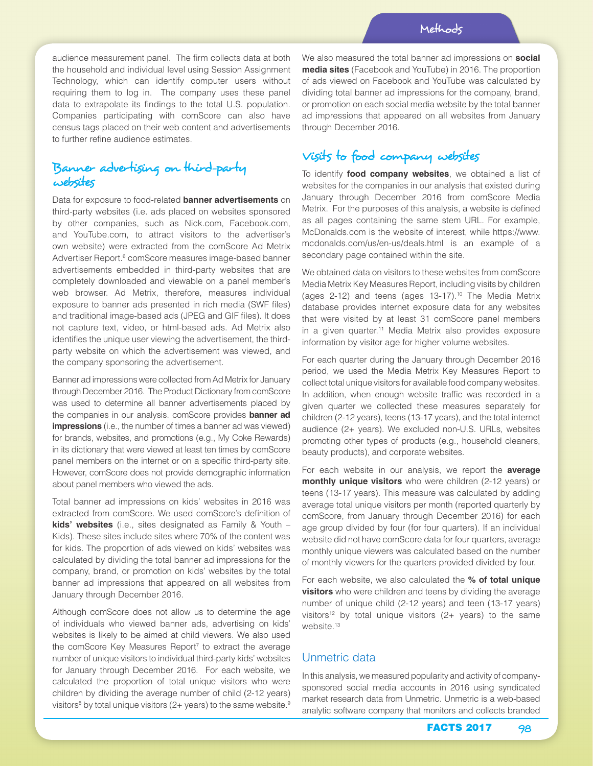audience measurement panel. The firm collects data at both the household and individual level using Session Assignment Technology, which can identify computer users without requiring them to log in. The company uses these panel data to extrapolate its findings to the total U.S. population. Companies participating with comScore can also have census tags placed on their web content and advertisements to further refine audience estimates.

# Banner advertising on third-party websites

Data for exposure to food-related **banner advertisements** on third-party websites (i.e. ads placed on websites sponsored by other companies, such as Nick.com, Facebook.com, and YouTube.com, to attract visitors to the advertiser's own website) were extracted from the comScore Ad Metrix Advertiser Report.<sup>6</sup> comScore measures image-based banner advertisements embedded in third-party websites that are completely downloaded and viewable on a panel member's web browser. Ad Metrix, therefore, measures individual exposure to banner ads presented in rich media (SWF files) and traditional image-based ads (JPEG and GIF files). It does not capture text, video, or html-based ads. Ad Metrix also identifies the unique user viewing the advertisement, the thirdparty website on which the advertisement was viewed, and the company sponsoring the advertisement.

Banner ad impressions were collected from Ad Metrix for January through December 2016. The Product Dictionary from comScore was used to determine all banner advertisements placed by the companies in our analysis. comScore provides **banner ad impressions** (i.e., the number of times a banner ad was viewed) for brands, websites, and promotions (e.g., My Coke Rewards) in its dictionary that were viewed at least ten times by comScore panel members on the internet or on a specific third-party site. However, comScore does not provide demographic information about panel members who viewed the ads.

Total banner ad impressions on kids' websites in 2016 was extracted from comScore. We used comScore's definition of **kids' websites** (i.e., sites designated as Family & Youth – Kids). These sites include sites where 70% of the content was for kids. The proportion of ads viewed on kids' websites was calculated by dividing the total banner ad impressions for the company, brand, or promotion on kids' websites by the total banner ad impressions that appeared on all websites from January through December 2016.

Although comScore does not allow us to determine the age of individuals who viewed banner ads, advertising on kids' websites is likely to be aimed at child viewers. We also used the comScore Key Measures Report<sup>7</sup> to extract the average number of unique visitors to individual third-party kids' websites for January through December 2016. For each website, we calculated the proportion of total unique visitors who were children by dividing the average number of child (2-12 years) visitors<sup>8</sup> by total unique visitors (2+ years) to the same website.<sup>9</sup>

We also measured the total banner ad impressions on **social media sites** (Facebook and YouTube) in 2016. The proportion of ads viewed on Facebook and YouTube was calculated by dividing total banner ad impressions for the company, brand, or promotion on each social media website by the total banner ad impressions that appeared on all websites from January through December 2016.

# Visits to food company websites

To identify **food company websites**, we obtained a list of websites for the companies in our analysis that existed during January through December 2016 from comScore Media Metrix. For the purposes of this analysis, a website is defined as all pages containing the same stem URL. For example, McDonalds.com is the website of interest, while https://www. mcdonalds.com/us/en-us/deals.html is an example of a secondary page contained within the site.

We obtained data on visitors to these websites from comScore Media Metrix Key Measures Report, including visits by children (ages 2-12) and teens (ages 13-17).10 The Media Metrix database provides internet exposure data for any websites that were visited by at least 31 comScore panel members in a given quarter.<sup>11</sup> Media Metrix also provides exposure information by visitor age for higher volume websites.

For each quarter during the January through December 2016 period, we used the Media Metrix Key Measures Report to collect total unique visitors for available food company websites. In addition, when enough website traffic was recorded in a given quarter we collected these measures separately for children (2-12 years), teens (13-17 years), and the total internet audience (2+ years). We excluded non-U.S. URLs, websites promoting other types of products (e.g., household cleaners, beauty products), and corporate websites.

For each website in our analysis, we report the **average monthly unique visitors** who were children (2-12 years) or teens (13-17 years). This measure was calculated by adding average total unique visitors per month (reported quarterly by comScore, from January through December 2016) for each age group divided by four (for four quarters). If an individual website did not have comScore data for four quarters, average monthly unique viewers was calculated based on the number of monthly viewers for the quarters provided divided by four.

For each website, we also calculated the **% of total unique visitors** who were children and teens by dividing the average number of unique child (2-12 years) and teen (13-17 years) visitors<sup>12</sup> by total unique visitors  $(2+)$  years) to the same website.<sup>13</sup>

### Unmetric data

In this analysis, we measured popularity and activity of companysponsored social media accounts in 2016 using syndicated market research data from Unmetric. Unmetric is a web-based analytic software company that monitors and collects branded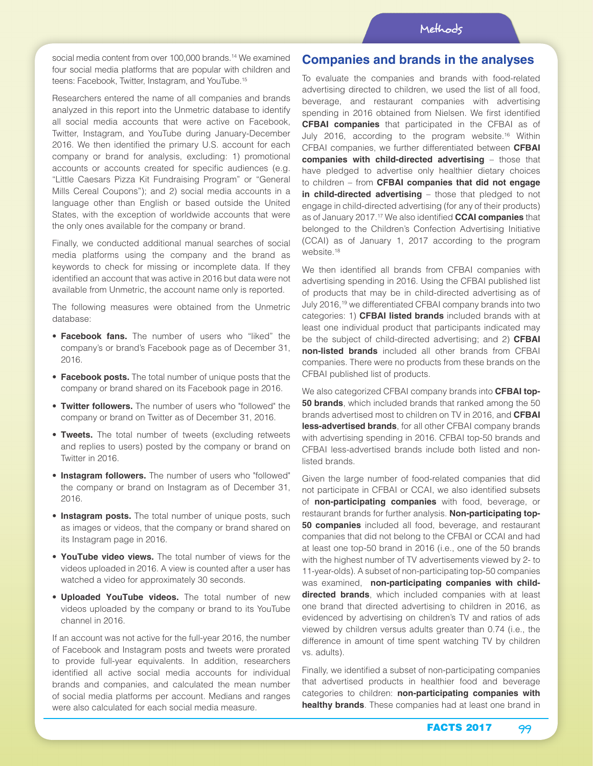social media content from over 100,000 brands.<sup>14</sup> We examined four social media platforms that are popular with children and teens: Facebook, Twitter, Instagram, and YouTube.15

Researchers entered the name of all companies and brands analyzed in this report into the Unmetric database to identify all social media accounts that were active on Facebook, Twitter, Instagram, and YouTube during January-December 2016. We then identified the primary U.S. account for each company or brand for analysis, excluding: 1) promotional accounts or accounts created for specific audiences (e.g. "Little Caesars Pizza Kit Fundraising Program" or "General Mills Cereal Coupons"); and 2) social media accounts in a language other than English or based outside the United States, with the exception of worldwide accounts that were the only ones available for the company or brand.

Finally, we conducted additional manual searches of social media platforms using the company and the brand as keywords to check for missing or incomplete data. If they identified an account that was active in 2016 but data were not available from Unmetric, the account name only is reported.

The following measures were obtained from the Unmetric database:

- **Facebook fans.** The number of users who "liked" the company's or brand's Facebook page as of December 31, 2016.
- **Facebook posts.** The total number of unique posts that the company or brand shared on its Facebook page in 2016.
- **Twitter followers.** The number of users who "followed" the company or brand on Twitter as of December 31, 2016.
- **Tweets.** The total number of tweets (excluding retweets and replies to users) posted by the company or brand on Twitter in 2016.
- **Instagram followers.** The number of users who "followed" the company or brand on Instagram as of December 31, 2016.
- **Instagram posts.** The total number of unique posts, such as images or videos, that the company or brand shared on its Instagram page in 2016.
- **YouTube video views.** The total number of views for the videos uploaded in 2016. A view is counted after a user has watched a video for approximately 30 seconds.
- **Uploaded YouTube videos.** The total number of new videos uploaded by the company or brand to its YouTube channel in 2016.

If an account was not active for the full-year 2016, the number of Facebook and Instagram posts and tweets were prorated to provide full-year equivalents. In addition, researchers identified all active social media accounts for individual brands and companies, and calculated the mean number of social media platforms per account. Medians and ranges were also calculated for each social media measure.

### **Companies and brands in the analyses**

To evaluate the companies and brands with food-related advertising directed to children, we used the list of all food, beverage, and restaurant companies with advertising spending in 2016 obtained from Nielsen. We first identified **CFBAI companies** that participated in the CFBAI as of July 2016, according to the program website.16 Within CFBAI companies, we further differentiated between **CFBAI companies with child-directed advertising** – those that have pledged to advertise only healthier dietary choices to children – from **CFBAI companies that did not engage in child-directed advertising** – those that pledged to not engage in child-directed advertising (for any of their products) as of January 2017.17 We also identified **CCAI companies** that belonged to the Children's Confection Advertising Initiative (CCAI) as of January 1, 2017 according to the program website.<sup>18</sup>

We then identified all brands from CFBAI companies with advertising spending in 2016. Using the CFBAI published list of products that may be in child-directed advertising as of July 2016,19 we differentiated CFBAI company brands into two categories: 1) **CFBAI listed brands** included brands with at least one individual product that participants indicated may be the subject of child-directed advertising; and 2) **CFBAI non-listed brands** included all other brands from CFBAI companies. There were no products from these brands on the CFBAI published list of products.

We also categorized CFBAI company brands into **CFBAI top-50 brands**, which included brands that ranked among the 50 brands advertised most to children on TV in 2016, and **CFBAI less-advertised brands**, for all other CFBAI company brands with advertising spending in 2016. CFBAI top-50 brands and CFBAI less-advertised brands include both listed and nonlisted brands.

Given the large number of food-related companies that did not participate in CFBAI or CCAI, we also identified subsets of **non-participating companies** with food, beverage, or restaurant brands for further analysis. **Non-participating top-50 companies** included all food, beverage, and restaurant companies that did not belong to the CFBAI or CCAI and had at least one top-50 brand in 2016 (i.e., one of the 50 brands with the highest number of TV advertisements viewed by 2- to 11-year-olds). A subset of non-participating top-50 companies was examined, **non-participating companies with childdirected brands**, which included companies with at least one brand that directed advertising to children in 2016, as evidenced by advertising on children's TV and ratios of ads viewed by children versus adults greater than 0.74 (i.e., the difference in amount of time spent watching TV by children vs. adults).

Finally, we identified a subset of non-participating companies that advertised products in healthier food and beverage categories to children: **non-participating companies with healthy brands**. These companies had at least one brand in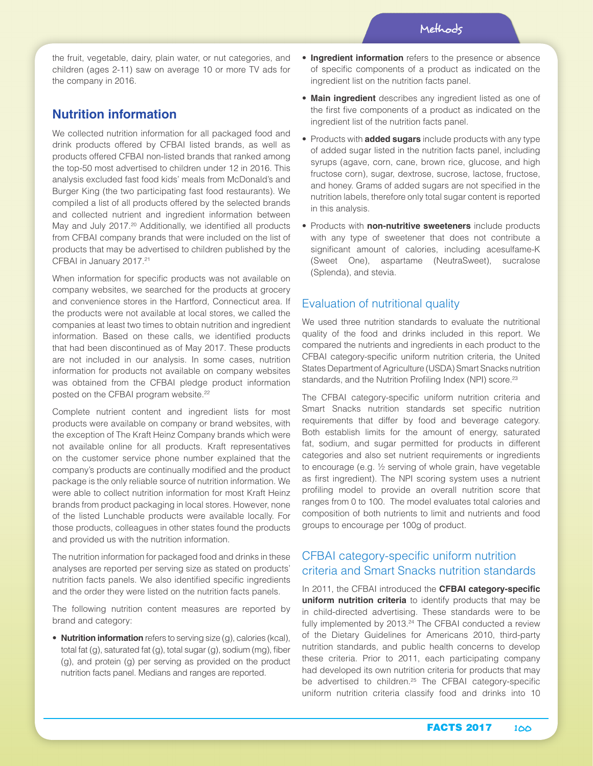the fruit, vegetable, dairy, plain water, or nut categories, and children (ages 2-11) saw on average 10 or more TV ads for the company in 2016.

## **Nutrition information**

We collected nutrition information for all packaged food and drink products offered by CFBAI listed brands, as well as products offered CFBAI non-listed brands that ranked among the top-50 most advertised to children under 12 in 2016. This analysis excluded fast food kids' meals from McDonald's and Burger King (the two participating fast food restaurants). We compiled a list of all products offered by the selected brands and collected nutrient and ingredient information between May and July 2017.<sup>20</sup> Additionally, we identified all products from CFBAI company brands that were included on the list of products that may be advertised to children published by the CFBAI in January 2017.<sup>21</sup>

When information for specific products was not available on company websites, we searched for the products at grocery and convenience stores in the Hartford, Connecticut area. If the products were not available at local stores, we called the companies at least two times to obtain nutrition and ingredient information. Based on these calls, we identified products that had been discontinued as of May 2017. These products are not included in our analysis. In some cases, nutrition information for products not available on company websites was obtained from the CFBAI pledge product information posted on the CFBAI program website.<sup>22</sup>

Complete nutrient content and ingredient lists for most products were available on company or brand websites, with the exception of The Kraft Heinz Company brands which were not available online for all products. Kraft representatives on the customer service phone number explained that the company's products are continually modified and the product package is the only reliable source of nutrition information. We were able to collect nutrition information for most Kraft Heinz brands from product packaging in local stores. However, none of the listed Lunchable products were available locally. For those products, colleagues in other states found the products and provided us with the nutrition information.

The nutrition information for packaged food and drinks in these analyses are reported per serving size as stated on products' nutrition facts panels. We also identified specific ingredients and the order they were listed on the nutrition facts panels.

The following nutrition content measures are reported by brand and category:

• **Nutrition information** refers to serving size (g), calories (kcal), total fat (g), saturated fat (g), total sugar (g), sodium (mg), fiber (g), and protein (g) per serving as provided on the product nutrition facts panel. Medians and ranges are reported.

- **Ingredient information** refers to the presence or absence of specific components of a product as indicated on the ingredient list on the nutrition facts panel.
- **Main ingredient** describes any ingredient listed as one of the first five components of a product as indicated on the ingredient list of the nutrition facts panel.
- Products with **added sugars** include products with any type of added sugar listed in the nutrition facts panel, including syrups (agave, corn, cane, brown rice, glucose, and high fructose corn), sugar, dextrose, sucrose, lactose, fructose, and honey. Grams of added sugars are not specified in the nutrition labels, therefore only total sugar content is reported in this analysis.
- Products with **non-nutritive sweeteners** include products with any type of sweetener that does not contribute a significant amount of calories, including acesulfame-K (Sweet One), aspartame (NeutraSweet), sucralose (Splenda), and stevia.

### Evaluation of nutritional quality

We used three nutrition standards to evaluate the nutritional quality of the food and drinks included in this report. We compared the nutrients and ingredients in each product to the CFBAI category-specific uniform nutrition criteria, the United States Department of Agriculture (USDA) Smart Snacks nutrition standards, and the Nutrition Profiling Index (NPI) score.<sup>23</sup>

The CFBAI category-specific uniform nutrition criteria and Smart Snacks nutrition standards set specific nutrition requirements that differ by food and beverage category. Both establish limits for the amount of energy, saturated fat, sodium, and sugar permitted for products in different categories and also set nutrient requirements or ingredients to encourage (e.g. ½ serving of whole grain, have vegetable as first ingredient). The NPI scoring system uses a nutrient profiling model to provide an overall nutrition score that ranges from 0 to 100. The model evaluates total calories and composition of both nutrients to limit and nutrients and food groups to encourage per 100g of product.

### CFBAI category-specific uniform nutrition criteria and Smart Snacks nutrition standards

In 2011, the CFBAI introduced the **CFBAI category-specific uniform nutrition criteria** to identify products that may be in child-directed advertising. These standards were to be fully implemented by  $2013.<sup>24</sup>$  The CFBAI conducted a review of the Dietary Guidelines for Americans 2010, third-party nutrition standards, and public health concerns to develop these criteria. Prior to 2011, each participating company had developed its own nutrition criteria for products that may be advertised to children.<sup>25</sup> The CFBAI category-specific uniform nutrition criteria classify food and drinks into 10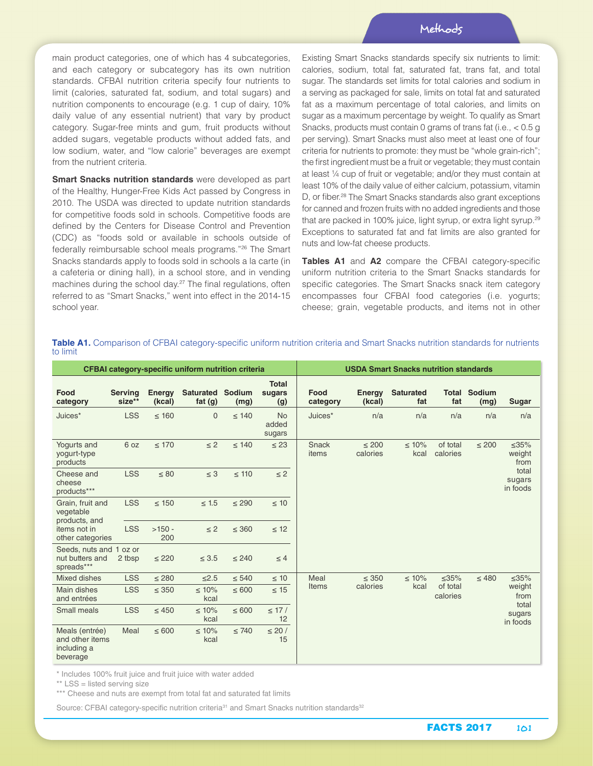main product categories, one of which has 4 subcategories, and each category or subcategory has its own nutrition standards. CFBAI nutrition criteria specify four nutrients to limit (calories, saturated fat, sodium, and total sugars) and nutrition components to encourage (e.g. 1 cup of dairy, 10% daily value of any essential nutrient) that vary by product category. Sugar-free mints and gum, fruit products without added sugars, vegetable products without added fats, and low sodium, water, and "low calorie" beverages are exempt from the nutrient criteria.

**Smart Snacks nutrition standards** were developed as part of the Healthy, Hunger-Free Kids Act passed by Congress in 2010. The USDA was directed to update nutrition standards for competitive foods sold in schools. Competitive foods are defined by the Centers for Disease Control and Prevention (CDC) as "foods sold or available in schools outside of federally reimbursable school meals programs."26 The Smart Snacks standards apply to foods sold in schools a la carte (in a cafeteria or dining hall), in a school store, and in vending machines during the school day.<sup>27</sup> The final regulations, often referred to as "Smart Snacks," went into effect in the 2014-15 school year.

Existing Smart Snacks standards specify six nutrients to limit: calories, sodium, total fat, saturated fat, trans fat, and total sugar. The standards set limits for total calories and sodium in a serving as packaged for sale, limits on total fat and saturated fat as a maximum percentage of total calories, and limits on sugar as a maximum percentage by weight. To qualify as Smart Snacks, products must contain 0 grams of trans fat (i.e., < 0.5 g per serving). Smart Snacks must also meet at least one of four criteria for nutrients to promote: they must be "whole grain-rich"; the first ingredient must be a fruit or vegetable; they must contain at least ¼ cup of fruit or vegetable; and/or they must contain at least 10% of the daily value of either calcium, potassium, vitamin D, or fiber.<sup>28</sup> The Smart Snacks standards also grant exceptions for canned and frozen fruits with no added ingredients and those that are packed in 100% juice, light syrup, or extra light syrup.<sup>29</sup> Exceptions to saturated fat and fat limits are also granted for nuts and low-fat cheese products.

**Tables A1** and **A2** compare the CFBAI category-specific uniform nutrition criteria to the Smart Snacks standards for specific categories. The Smart Snacks snack item category encompasses four CFBAI food categories (i.e. yogurts; cheese; grain, vegetable products, and items not in other

| <b>CFBAI category-specific uniform nutrition criteria</b>                          |                          |                  |                                      |            |                               | <b>USDA Smart Snacks nutrition standards</b> |                        |                         |                      |                             |                                                              |
|------------------------------------------------------------------------------------|--------------------------|------------------|--------------------------------------|------------|-------------------------------|----------------------------------------------|------------------------|-------------------------|----------------------|-----------------------------|--------------------------------------------------------------|
| Food<br>category                                                                   | <b>Serving</b><br>size** | Energy<br>(kcal) | <b>Saturated Sodium</b><br>fat $(g)$ | (mg)       | <b>Total</b><br>sugars<br>(g) | Food<br>category                             | Energy<br>(kcal)       | <b>Saturated</b><br>fat | fat                  | <b>Total Sodium</b><br>(mg) | Sugar                                                        |
| Juices*                                                                            | <b>LSS</b>               | $\leq 160$       | $\Omega$                             | $\leq 140$ | <b>No</b><br>added<br>sugars  | Juices*                                      | n/a                    | n/a                     | n/a                  | n/a                         | n/a                                                          |
| Yogurts and<br>yogurt-type<br>products                                             | 6 oz                     | $\leq 170$       | $\leq$ 2                             | $\leq 140$ | $\leq 23$                     | Snack<br>items                               | $\leq 200$<br>calories | $\leq 10\%$<br>kcal     | of total<br>calories | $\leq 200$                  | $\leq 35\%$<br>weight<br>from<br>total<br>sugars<br>in foods |
| Cheese and<br>cheese<br>products***                                                | <b>LSS</b>               | $\leq 80$        | $\leq 3$                             | $\leq 110$ | $\leq$ 2                      |                                              |                        |                         |                      |                             |                                                              |
| Grain, fruit and<br>vegetable<br>products, and<br>items not in<br>other categories | <b>LSS</b>               | $\leq 150$       | $\leq 1.5$                           | $\leq 290$ | $\leq 10$                     |                                              |                        |                         |                      |                             |                                                              |
|                                                                                    | <b>LSS</b>               | $>150 -$<br>200  | $\leq$ 2                             | $\leq$ 360 | $\leq 12$                     |                                              |                        |                         |                      |                             |                                                              |
| Seeds, nuts and 1 oz or<br>nut butters and<br>spreads***                           | 2 tbsp                   | $\leq$ 220       | $\leq 3.5$                           | $\leq 240$ | $\leq 4$                      |                                              |                        |                         |                      |                             |                                                              |
| Mixed dishes                                                                       | <b>LSS</b>               | $\leq 280$       | $≤2.5$                               | $\leq 540$ | $\leq 10$                     | Meal                                         | $\leq$ 350             | $\leq 10\%$             | $\leq 35\%$          | $\leq 480$                  | $\leq 35\%$                                                  |
| Main dishes<br>and entrées                                                         | <b>LSS</b>               | $\leq$ 350       | $\leq 10\%$<br>kcal                  | $\leq 600$ | $\leq 15$                     | Items                                        | calories               | kcal                    | of total<br>calories |                             | weight<br>from<br>total<br>sugars<br>in foods                |
| Small meals                                                                        | <b>LSS</b>               | $\leq 450$       | $\leq 10\%$<br>kcal                  | $\leq 600$ | $\leq$ 17 /<br>12             |                                              |                        |                         |                      |                             |                                                              |
| Meals (entrée)<br>and other items<br>including a<br>beverage                       | Meal                     | $\leq 600$       | $\leq 10\%$<br>kcal                  | $\leq 740$ | $\leq 20/$<br>15              |                                              |                        |                         |                      |                             |                                                              |

Table A1. Comparison of CFBAI category-specific uniform nutrition criteria and Smart Snacks nutrition standards for nutrients to limit

\* Includes 100% fruit juice and fruit juice with water added

\*\* LSS = listed serving size

\*\*\* Cheese and nuts are exempt from total fat and saturated fat limits

Source: CFBAI category-specific nutrition criteria<sup>31</sup> and Smart Snacks nutrition standards<sup>32</sup>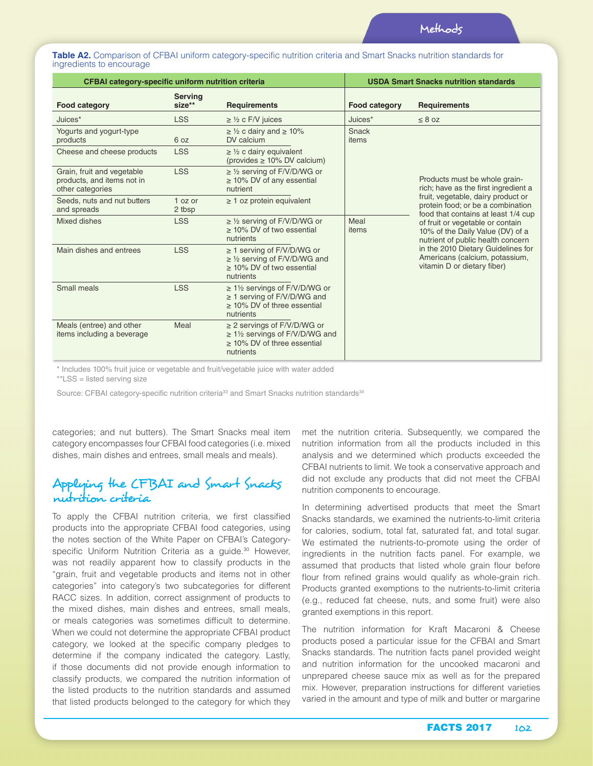**Table A2.** Comparison of CFBAI uniform category-specific nutrition criteria and Smart Snacks nutrition standards for ingredients to encourage

| CFBAI category-specific uniform nutrition criteria                           |                          | <b>USDA Smart Snacks nutrition standards</b>                                                                       |                      |                                                                                                                                                                                                                                                                                                                                    |  |  |
|------------------------------------------------------------------------------|--------------------------|--------------------------------------------------------------------------------------------------------------------|----------------------|------------------------------------------------------------------------------------------------------------------------------------------------------------------------------------------------------------------------------------------------------------------------------------------------------------------------------------|--|--|
| Food category                                                                | <b>Serving</b><br>size** | <b>Requirements</b>                                                                                                | <b>Food category</b> | <b>Requirements</b>                                                                                                                                                                                                                                                                                                                |  |  |
| Juices*                                                                      | <b>LSS</b>               | $\geq$ 1/2 c F/V juices                                                                                            | Juices*              | $\leq 8$ oz                                                                                                                                                                                                                                                                                                                        |  |  |
| Yogurts and yogurt-type<br>products                                          | 6 oz                     | $\geq$ 1/2 c dairy and $\geq$ 10%<br>DV calcium                                                                    | Snack<br>items       |                                                                                                                                                                                                                                                                                                                                    |  |  |
| Cheese and cheese products                                                   | <b>LSS</b>               | $\geq$ 1/2 c dairy equivalent<br>(provides $\geq 10\%$ DV calcium)                                                 |                      |                                                                                                                                                                                                                                                                                                                                    |  |  |
| Grain, fruit and vegetable<br>products, and items not in<br>other categories | <b>LSS</b>               | $\geq$ 1/2 serving of F/V/D/WG or<br>$\geq$ 10% DV of any essential<br>nutrient                                    |                      | Products must be whole grain-<br>rich; have as the first ingredient a                                                                                                                                                                                                                                                              |  |  |
| Seeds, nuts and nut butters<br>and spreads                                   | 1 oz or<br>2 tbsp        | $\geq$ 1 oz protein equivalent                                                                                     |                      | fruit, vegetable, dairy product or<br>protein food; or be a combination<br>food that contains at least 1/4 cup<br>of fruit or vegetable or contain<br>10% of the Daily Value (DV) of a<br>nutrient of public health concern<br>in the 2010 Dietary Guidelines for<br>Americans (calcium, potassium,<br>vitamin D or dietary fiber) |  |  |
| Mixed dishes                                                                 | <b>LSS</b>               | $\geq$ 1/2 serving of F/V/D/WG or<br>> 10% DV of two essential<br>nutrients                                        | Meal<br>items        |                                                                                                                                                                                                                                                                                                                                    |  |  |
| Main dishes and entrees                                                      | <b>LSS</b>               | ≥ 1 serving of F/V/D/WG or<br>$\geq$ 1/2 serving of F/V/D/WG and<br>> 10% DV of two essential<br>nutrients         |                      |                                                                                                                                                                                                                                                                                                                                    |  |  |
| Small meals                                                                  | <b>LSS</b>               | $\geq$ 1½ servings of F/V/D/WG or<br>$\geq$ 1 serving of F/V/D/WG and<br>> 10% DV of three essential<br>nutrients  |                      |                                                                                                                                                                                                                                                                                                                                    |  |  |
| Meals (entree) and other<br>items including a beverage                       | Meal                     | $\geq$ 2 servings of F/V/D/WG or<br>$\geq$ 1½ servings of F/V/D/WG and<br>> 10% DV of three essential<br>nutrients |                      |                                                                                                                                                                                                                                                                                                                                    |  |  |

\* Includes 100% fruit juice or vegetable and fruit/vegetable juice with water added \*\*LSS = listed serving size

Source: CFBAI category-specific nutrition criteria<sup>33</sup> and Smart Snacks nutrition standards<sup>34</sup>

categories; and nut butters). The Smart Snacks meal item category encompasses four CFBAI food categories (i.e. mixed dishes, main dishes and entrees, small meals and meals).

## Applying the CFBAI and Smart Snacks nutrition criteria

To apply the CFBAI nutrition criteria, we first classified products into the appropriate CFBAI food categories, using the notes section of the White Paper on CFBAI's Categoryspecific Uniform Nutrition Criteria as a guide.<sup>30</sup> However, was not readily apparent how to classify products in the "grain, fruit and vegetable products and items not in other categories" into category's two subcategories for different RACC sizes. In addition, correct assignment of products to the mixed dishes, main dishes and entrees, small meals, or meals categories was sometimes difficult to determine. When we could not determine the appropriate CFBAI product category, we looked at the specific company pledges to determine if the company indicated the category. Lastly, if those documents did not provide enough information to classify products, we compared the nutrition information of the listed products to the nutrition standards and assumed that listed products belonged to the category for which they

met the nutrition criteria. Subsequently, we compared the nutrition information from all the products included in this analysis and we determined which products exceeded the CFBAI nutrients to limit. We took a conservative approach and did not exclude any products that did not meet the CFBAI nutrition components to encourage.

In determining advertised products that meet the Smart Snacks standards, we examined the nutrients-to-limit criteria for calories, sodium, total fat, saturated fat, and total sugar. We estimated the nutrients-to-promote using the order of ingredients in the nutrition facts panel. For example, we assumed that products that listed whole grain flour before flour from refined grains would qualify as whole-grain rich. Products granted exemptions to the nutrients-to-limit criteria (e.g., reduced fat cheese, nuts, and some fruit) were also granted exemptions in this report.

The nutrition information for Kraft Macaroni & Cheese products posed a particular issue for the CFBAI and Smart Snacks standards. The nutrition facts panel provided weight and nutrition information for the uncooked macaroni and unprepared cheese sauce mix as well as for the prepared mix. However, preparation instructions for different varieties varied in the amount and type of milk and butter or margarine